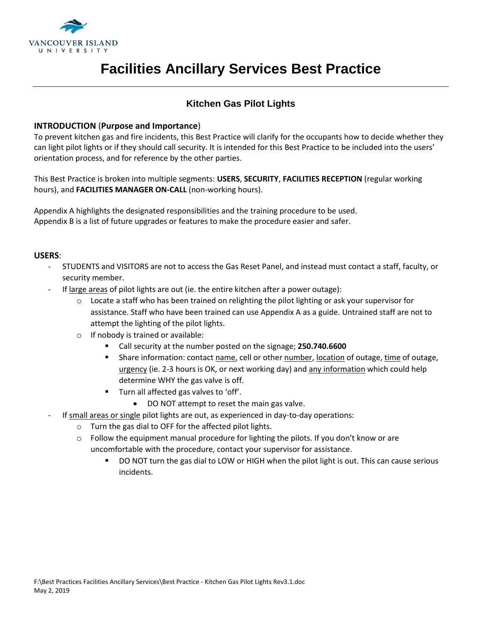

### **Kitchen Gas Pilot Lights**

#### **INTRODUCTION** (**Purpose and Importance**)

To prevent kitchen gas and fire incidents, this Best Practice will clarify for the occupants how to decide whether they can light pilot lights or if they should call security. It is intended for this Best Practice to be included into the users' orientation process, and for reference by the other parties.

This Best Practice is broken into multiple segments: **USERS**, **SECURITY**, **FACILITIES RECEPTION** (regular working hours), and **FACILITIES MANAGER ON-CALL** (non-working hours).

Appendix A highlights the designated responsibilities and the training procedure to be used. Appendix B is a list of future upgrades or features to make the procedure easier and safer.

#### **USERS**:

- STUDENTS and VISITORS are not to access the Gas Reset Panel, and instead must contact a staff, faculty, or security member.
- If large areas of pilot lights are out (ie. the entire kitchen after a power outage):
	- $\circ$  Locate a staff who has been trained on relighting the pilot lighting or ask your supervisor for assistance. Staff who have been trained can use Appendix A as a guide. Untrained staff are not to attempt the lighting of the pilot lights.
	- o If nobody is trained or available:
		- Call security at the number posted on the signage; **250.740.6600**
		- Share information: contact name, cell or other number, location of outage, time of outage, urgency (ie. 2-3 hours is OK, or next working day) and any information which could help determine WHY the gas valve is off.
		- **Turn all affected gas valves to 'off'.** 
			- DO NOT attempt to reset the main gas valve.
- If small areas or single pilot lights are out, as experienced in day-to-day operations:
	- o Turn the gas dial to OFF for the affected pilot lights.
	- $\circ$  Follow the equipment manual procedure for lighting the pilots. If you don't know or are uncomfortable with the procedure, contact your supervisor for assistance.
		- DO NOT turn the gas dial to LOW or HIGH when the pilot light is out. This can cause serious incidents.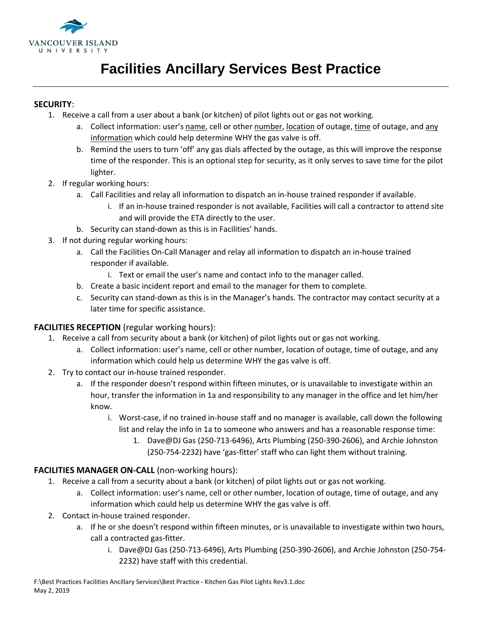

#### **SECURITY**:

- 1. Receive a call from a user about a bank (or kitchen) of pilot lights out or gas not working.
	- a. Collect information: user's name, cell or other number, location of outage, time of outage, and any information which could help determine WHY the gas valve is off.
	- b. Remind the users to turn 'off' any gas dials affected by the outage, as this will improve the response time of the responder. This is an optional step for security, as it only serves to save time for the pilot lighter.
- 2. If regular working hours:
	- a. Call Facilities and relay all information to dispatch an in-house trained responder if available.
		- i. If an in-house trained responder is not available, Facilities will call a contractor to attend site and will provide the ETA directly to the user.
	- b. Security can stand-down as this is in Facilities' hands.
- 3. If not during regular working hours:
	- a. Call the Facilities On-Call Manager and relay all information to dispatch an in-house trained responder if available.
		- i. Text or email the user's name and contact info to the manager called.
	- b. Create a basic incident report and email to the manager for them to complete.
	- c. Security can stand-down as this is in the Manager's hands. The contractor may contact security at a later time for specific assistance.

### **FACILITIES RECEPTION** (regular working hours):

- 1. Receive a call from security about a bank (or kitchen) of pilot lights out or gas not working.
	- a. Collect information: user's name, cell or other number, location of outage, time of outage, and any information which could help us determine WHY the gas valve is off.
- 2. Try to contact our in-house trained responder.
	- a. If the responder doesn't respond within fifteen minutes, or is unavailable to investigate within an hour, transfer the information in 1a and responsibility to any manager in the office and let him/her know.
		- i. Worst-case, if no trained in-house staff and no manager is available, call down the following list and relay the info in 1a to someone who answers and has a reasonable response time:
			- 1. Dave@DJ Gas (250-713-6496), Arts Plumbing (250-390-2606), and Archie Johnston (250-754-2232) have 'gas-fitter' staff who can light them without training.

### **FACILITIES MANAGER ON-CALL** (non-working hours):

- 1. Receive a call from a security about a bank (or kitchen) of pilot lights out or gas not working.
	- a. Collect information: user's name, cell or other number, location of outage, time of outage, and any information which could help us determine WHY the gas valve is off.
- 2. Contact in-house trained responder.
	- a. If he or she doesn't respond within fifteen minutes, or is unavailable to investigate within two hours, call a contracted gas-fitter.
		- i. Dave@DJ Gas (250-713-6496), Arts Plumbing (250-390-2606), and Archie Johnston (250-754- 2232) have staff with this credential.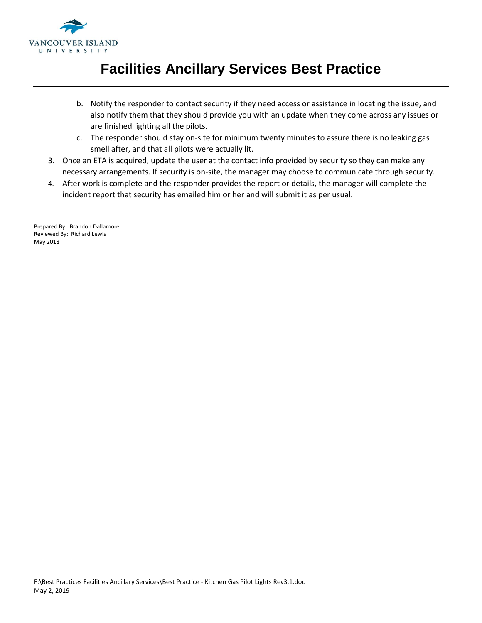

- b. Notify the responder to contact security if they need access or assistance in locating the issue, and also notify them that they should provide you with an update when they come across any issues or are finished lighting all the pilots.
- c. The responder should stay on-site for minimum twenty minutes to assure there is no leaking gas smell after, and that all pilots were actually lit.
- 3. Once an ETA is acquired, update the user at the contact info provided by security so they can make any necessary arrangements. If security is on-site, the manager may choose to communicate through security.
- 4. After work is complete and the responder provides the report or details, the manager will complete the incident report that security has emailed him or her and will submit it as per usual.

Prepared By: Brandon Dallamore Reviewed By: Richard Lewis May 2018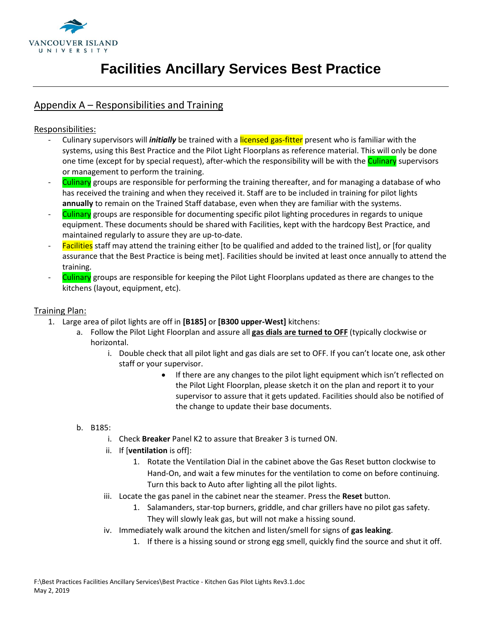

### Appendix A – Responsibilities and Training

### Responsibilities:

- Culinary supervisors will *initially* be trained with a licensed gas-fitter present who is familiar with the systems, using this Best Practice and the Pilot Light Floorplans as reference material. This will only be done one time (except for by special request), after-which the responsibility will be with the **Culinary** supervisors or management to perform the training.
- Culinary groups are responsible for performing the training thereafter, and for managing a database of who has received the training and when they received it. Staff are to be included in training for pilot lights **annually** to remain on the Trained Staff database, even when they are familiar with the systems.
- Culinary groups are responsible for documenting specific pilot lighting procedures in regards to unique equipment. These documents should be shared with Facilities, kept with the hardcopy Best Practice, and maintained regularly to assure they are up-to-date.
- Facilities staff may attend the training either [to be qualified and added to the trained list], or [for quality assurance that the Best Practice is being met]. Facilities should be invited at least once annually to attend the training.
- Culinary groups are responsible for keeping the Pilot Light Floorplans updated as there are changes to the kitchens (layout, equipment, etc).

### Training Plan:

- 1. Large area of pilot lights are off in **[B185]** or **[B300 upper-West]** kitchens:
	- a. Follow the Pilot Light Floorplan and assure all **gas dials are turned to OFF** (typically clockwise or horizontal.
		- i. Double check that all pilot light and gas dials are set to OFF. If you can't locate one, ask other staff or your supervisor.
			- If there are any changes to the pilot light equipment which isn't reflected on the Pilot Light Floorplan, please sketch it on the plan and report it to your supervisor to assure that it gets updated. Facilities should also be notified of the change to update their base documents.
	- b. B185:
		- i. Check **Breaker** Panel K2 to assure that Breaker 3 is turned ON.
		- ii. If [**ventilation** is off]:
			- 1. Rotate the Ventilation Dial in the cabinet above the Gas Reset button clockwise to Hand-On, and wait a few minutes for the ventilation to come on before continuing. Turn this back to Auto after lighting all the pilot lights.
		- iii. Locate the gas panel in the cabinet near the steamer. Press the **Reset** button.
			- 1. Salamanders, star-top burners, griddle, and char grillers have no pilot gas safety. They will slowly leak gas, but will not make a hissing sound.
		- iv. Immediately walk around the kitchen and listen/smell for signs of **gas leaking**.
			- 1. If there is a hissing sound or strong egg smell, quickly find the source and shut it off.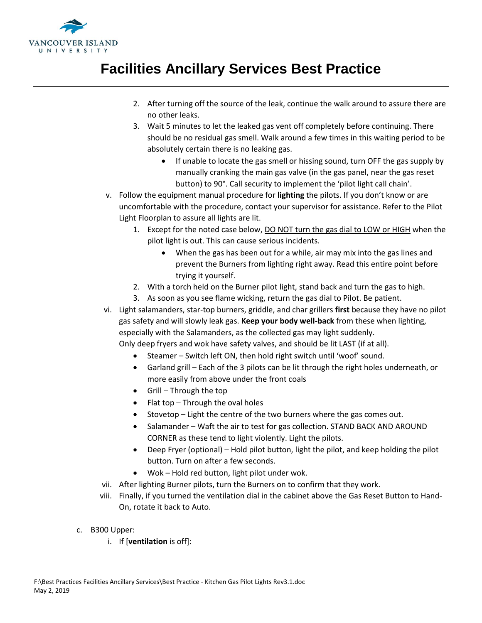

- 2. After turning off the source of the leak, continue the walk around to assure there are no other leaks.
- 3. Wait 5 minutes to let the leaked gas vent off completely before continuing. There should be no residual gas smell. Walk around a few times in this waiting period to be absolutely certain there is no leaking gas.
	- If unable to locate the gas smell or hissing sound, turn OFF the gas supply by manually cranking the main gas valve (in the gas panel, near the gas reset button) to 90°. Call security to implement the 'pilot light call chain'.
- v. Follow the equipment manual procedure for **lighting** the pilots. If you don't know or are uncomfortable with the procedure, contact your supervisor for assistance. Refer to the Pilot Light Floorplan to assure all lights are lit.
	- 1. Except for the noted case below, **DO NOT turn the gas dial to LOW or HIGH** when the pilot light is out. This can cause serious incidents.
		- When the gas has been out for a while, air may mix into the gas lines and prevent the Burners from lighting right away. Read this entire point before trying it yourself.
	- 2. With a torch held on the Burner pilot light, stand back and turn the gas to high.
	- 3. As soon as you see flame wicking, return the gas dial to Pilot. Be patient.
- vi. Light salamanders, star-top burners, griddle, and char grillers **first** because they have no pilot gas safety and will slowly leak gas. **Keep your body well-back** from these when lighting, especially with the Salamanders, as the collected gas may light suddenly. Only deep fryers and wok have safety valves, and should be lit LAST (if at all).
	- Steamer Switch left ON, then hold right switch until 'woof' sound.
	- Garland grill Each of the 3 pilots can be lit through the right holes underneath, or more easily from above under the front coals
	- $\bullet$  Grill Through the top
	- $\bullet$  Flat top Through the oval holes
	- Stovetop Light the centre of the two burners where the gas comes out.
	- Salamander Waft the air to test for gas collection. STAND BACK AND AROUND CORNER as these tend to light violently. Light the pilots.
	- Deep Fryer (optional) Hold pilot button, light the pilot, and keep holding the pilot button. Turn on after a few seconds.
	- Wok Hold red button, light pilot under wok.
- vii. After lighting Burner pilots, turn the Burners on to confirm that they work.
- viii. Finally, if you turned the ventilation dial in the cabinet above the Gas Reset Button to Hand-On, rotate it back to Auto.
- c. B300 Upper:
	- i. If [**ventilation** is off]: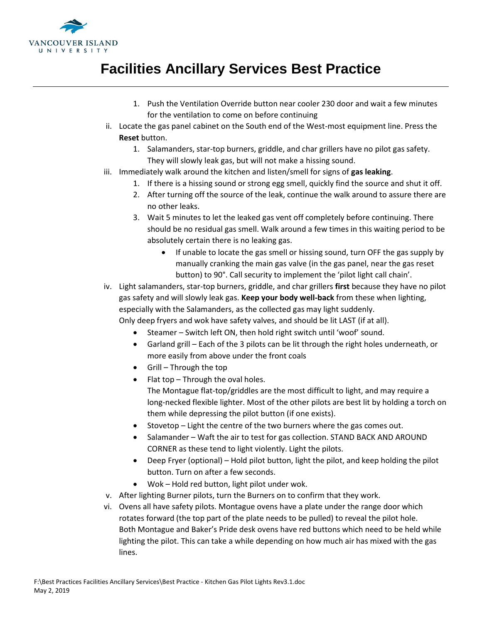

- 1. Push the Ventilation Override button near cooler 230 door and wait a few minutes for the ventilation to come on before continuing
- ii. Locate the gas panel cabinet on the South end of the West-most equipment line. Press the **Reset** button.
	- 1. Salamanders, star-top burners, griddle, and char grillers have no pilot gas safety. They will slowly leak gas, but will not make a hissing sound.
- iii. Immediately walk around the kitchen and listen/smell for signs of **gas leaking**.
	- 1. If there is a hissing sound or strong egg smell, quickly find the source and shut it off.
	- 2. After turning off the source of the leak, continue the walk around to assure there are no other leaks.
	- 3. Wait 5 minutes to let the leaked gas vent off completely before continuing. There should be no residual gas smell. Walk around a few times in this waiting period to be absolutely certain there is no leaking gas.
		- If unable to locate the gas smell or hissing sound, turn OFF the gas supply by manually cranking the main gas valve (in the gas panel, near the gas reset button) to 90°. Call security to implement the 'pilot light call chain'.
- iv. Light salamanders, star-top burners, griddle, and char grillers **first** because they have no pilot gas safety and will slowly leak gas. **Keep your body well-back** from these when lighting, especially with the Salamanders, as the collected gas may light suddenly. Only deep fryers and wok have safety valves, and should be lit LAST (if at all).
	- Steamer Switch left ON, then hold right switch until 'woof' sound.
	- Garland grill Each of the 3 pilots can be lit through the right holes underneath, or more easily from above under the front coals
	- Grill Through the top
	- Flat top  $-$  Through the oval holes. The Montague flat-top/griddles are the most difficult to light, and may require a long-necked flexible lighter. Most of the other pilots are best lit by holding a torch on them while depressing the pilot button (if one exists).
	- Stovetop Light the centre of the two burners where the gas comes out.
	- Salamander Waft the air to test for gas collection. STAND BACK AND AROUND CORNER as these tend to light violently. Light the pilots.
	- Deep Fryer (optional) Hold pilot button, light the pilot, and keep holding the pilot button. Turn on after a few seconds.
	- Wok Hold red button, light pilot under wok.
- v. After lighting Burner pilots, turn the Burners on to confirm that they work.
- vi. Ovens all have safety pilots. Montague ovens have a plate under the range door which rotates forward (the top part of the plate needs to be pulled) to reveal the pilot hole. Both Montague and Baker's Pride desk ovens have red buttons which need to be held while lighting the pilot. This can take a while depending on how much air has mixed with the gas lines.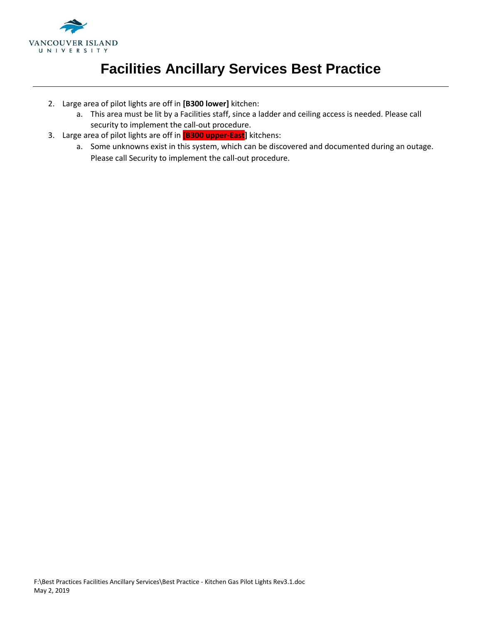

- 2. Large area of pilot lights are off in **[B300 lower]** kitchen:
	- a. This area must be lit by a Facilities staff, since a ladder and ceiling access is needed. Please call security to implement the call-out procedure.
- 3. Large area of pilot lights are off in **[B300 upper-East]** kitchens:
	- a. Some unknowns exist in this system, which can be discovered and documented during an outage. Please call Security to implement the call-out procedure.